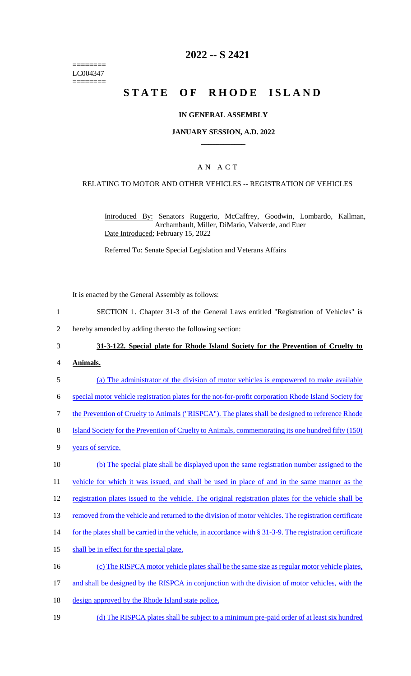======== LC004347 ========

# **2022 -- S 2421**

# **STATE OF RHODE ISLAND**

#### **IN GENERAL ASSEMBLY**

#### **JANUARY SESSION, A.D. 2022 \_\_\_\_\_\_\_\_\_\_\_\_**

## A N A C T

#### RELATING TO MOTOR AND OTHER VEHICLES -- REGISTRATION OF VEHICLES

Introduced By: Senators Ruggerio, McCaffrey, Goodwin, Lombardo, Kallman, Archambault, Miller, DiMario, Valverde, and Euer Date Introduced: February 15, 2022

Referred To: Senate Special Legislation and Veterans Affairs

It is enacted by the General Assembly as follows:

- 1 SECTION 1. Chapter 31-3 of the General Laws entitled "Registration of Vehicles" is
- 2 hereby amended by adding thereto the following section:

### 3 **31-3-122. Special plate for Rhode Island Society for the Prevention of Cruelty to**

- 4 **Animals.**
- 5 (a) The administrator of the division of motor vehicles is empowered to make available
- 6 special motor vehicle registration plates for the not-for-profit corporation Rhode Island Society for

7 the Prevention of Cruelty to Animals ("RISPCA"). The plates shall be designed to reference Rhode

- 8 Island Society for the Prevention of Cruelty to Animals, commemorating its one hundred fifty (150)
- 9 years of service.
- 10 (b) The special plate shall be displayed upon the same registration number assigned to the

11 vehicle for which it was issued, and shall be used in place of and in the same manner as the

- 12 registration plates issued to the vehicle. The original registration plates for the vehicle shall be
- 13 removed from the vehicle and returned to the division of motor vehicles. The registration certificate
- 14 for the plates shall be carried in the vehicle, in accordance with § 31-3-9. The registration certificate
- 15 shall be in effect for the special plate.
- 16 (c) The RISPCA motor vehicle plates shall be the same size as regular motor vehicle plates,
- 17 and shall be designed by the RISPCA in conjunction with the division of motor vehicles, with the
- 18 design approved by the Rhode Island state police.
- 19 (d) The RISPCA plates shall be subject to a minimum pre-paid order of at least six hundred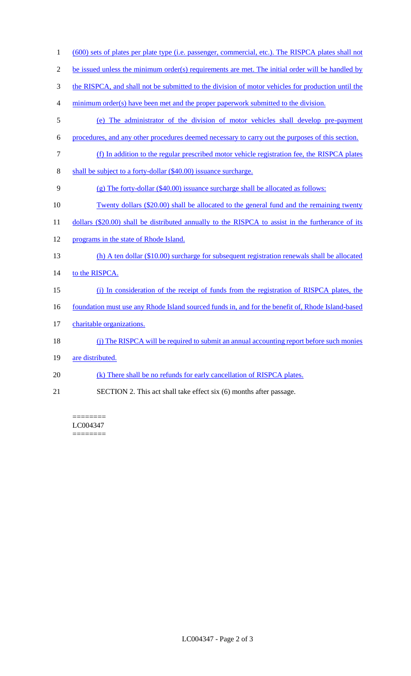| $\mathbf{1}$   | (600) sets of plates per plate type (i.e. passenger, commercial, etc.). The RISPCA plates shall not |
|----------------|-----------------------------------------------------------------------------------------------------|
| $\mathfrak{2}$ | be issued unless the minimum order(s) requirements are met. The initial order will be handled by    |
| 3              | the RISPCA, and shall not be submitted to the division of motor vehicles for production until the   |
| $\overline{4}$ | minimum order(s) have been met and the proper paperwork submitted to the division.                  |
| 5              | (e) The administrator of the division of motor vehicles shall develop pre-payment                   |
| 6              | procedures, and any other procedures deemed necessary to carry out the purposes of this section.    |
| $\tau$         | (f) In addition to the regular prescribed motor vehicle registration fee, the RISPCA plates         |
| $\,8\,$        | shall be subject to a forty-dollar (\$40.00) issuance surcharge.                                    |
| 9              | $(g)$ The forty-dollar (\$40.00) issuance surcharge shall be allocated as follows:                  |
| 10             | <u>Twenty dollars (\$20.00) shall be allocated to the general fund and the remaining twenty</u>     |
| 11             | dollars (\$20.00) shall be distributed annually to the RISPCA to assist in the furtherance of its   |
| 12             | programs in the state of Rhode Island.                                                              |
| 13             | $(h)$ A ten dollar (\$10.00) surcharge for subsequent registration renewals shall be allocated      |
| 14             | to the RISPCA.                                                                                      |
| 15             | (i) In consideration of the receipt of funds from the registration of RISPCA plates, the            |
| 16             | foundation must use any Rhode Island sourced funds in, and for the benefit of, Rhode Island-based   |
| 17             | charitable organizations.                                                                           |
| 18             | (j) The RISPCA will be required to submit an annual accounting report before such monies            |
| 19             | are distributed.                                                                                    |
| 20             | (k) There shall be no refunds for early cancellation of RISPCA plates.                              |
| 21             | SECTION 2. This act shall take effect six (6) months after passage.                                 |

========

LC004347 ========